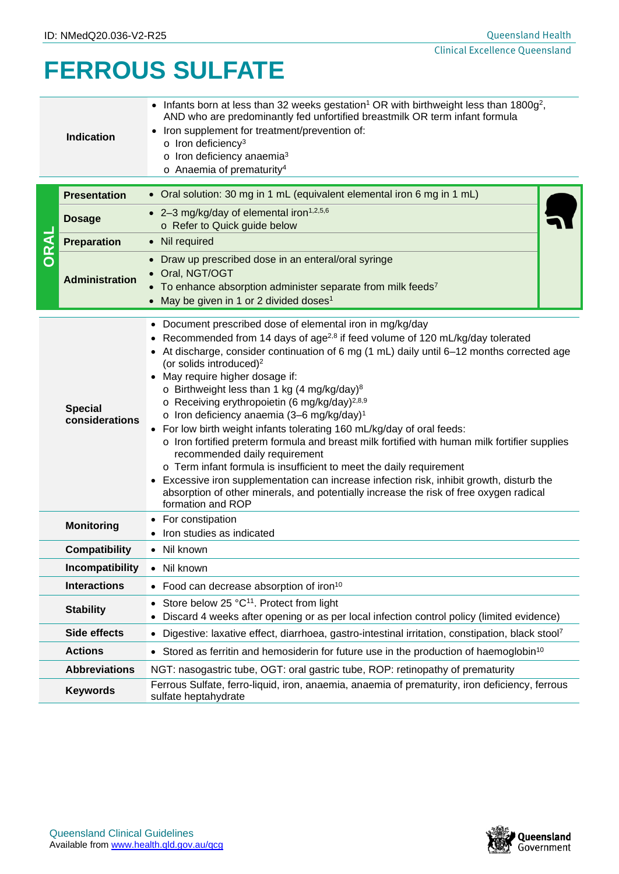# **FERROUS SULFATE**

| Indication |                                                                                                | • Infants born at less than 32 weeks gestation <sup>1</sup> OR with birthweight less than $1800g^2$ ,<br>AND who are predominantly fed unfortified breastmilk OR term infant formula<br>Iron supplement for treatment/prevention of:<br>$\circ$ Iron deficiency <sup>3</sup><br>$\circ$ Iron deficiency anaemia <sup>3</sup><br>$\circ$ Anaemia of prematurity <sup>4</sup> |  |
|------------|------------------------------------------------------------------------------------------------|-----------------------------------------------------------------------------------------------------------------------------------------------------------------------------------------------------------------------------------------------------------------------------------------------------------------------------------------------------------------------------|--|
|            | • Oral solution: 30 mg in 1 mL (equivalent elemental iron 6 mg in 1 mL)<br><b>Presentation</b> |                                                                                                                                                                                                                                                                                                                                                                             |  |

| DRAI                                                                                                                                      | <b>Dosage</b>                                                               | • 2-3 mg/kg/day of elemental iron <sup>1,2,5,6</sup>                                                                                                                                                                                                                                                                                                                                                                                                                                                                                                                                                                                                                                                                                                                                                                                                                                                                                                                                                                    |  |  |  |  |
|-------------------------------------------------------------------------------------------------------------------------------------------|-----------------------------------------------------------------------------|-------------------------------------------------------------------------------------------------------------------------------------------------------------------------------------------------------------------------------------------------------------------------------------------------------------------------------------------------------------------------------------------------------------------------------------------------------------------------------------------------------------------------------------------------------------------------------------------------------------------------------------------------------------------------------------------------------------------------------------------------------------------------------------------------------------------------------------------------------------------------------------------------------------------------------------------------------------------------------------------------------------------------|--|--|--|--|
|                                                                                                                                           |                                                                             | o Refer to Quick guide below                                                                                                                                                                                                                                                                                                                                                                                                                                                                                                                                                                                                                                                                                                                                                                                                                                                                                                                                                                                            |  |  |  |  |
|                                                                                                                                           | <b>Preparation</b>                                                          | Nil required<br>$\bullet$                                                                                                                                                                                                                                                                                                                                                                                                                                                                                                                                                                                                                                                                                                                                                                                                                                                                                                                                                                                               |  |  |  |  |
|                                                                                                                                           | <b>Administration</b>                                                       | Draw up prescribed dose in an enteral/oral syringe<br>$\bullet$<br>Oral, NGT/OGT<br>To enhance absorption administer separate from milk feeds7<br>May be given in 1 or 2 divided doses <sup>1</sup>                                                                                                                                                                                                                                                                                                                                                                                                                                                                                                                                                                                                                                                                                                                                                                                                                     |  |  |  |  |
| <b>Special</b><br>considerations                                                                                                          |                                                                             | Document prescribed dose of elemental iron in mg/kg/day<br>$\bullet$<br>Recommended from 14 days of age <sup>2,8</sup> if feed volume of 120 mL/kg/day tolerated<br>• At discharge, consider continuation of 6 mg (1 mL) daily until 6-12 months corrected age<br>(or solids introduced) <sup>2</sup><br>• May require higher dosage if:<br>o Birthweight less than 1 kg (4 mg/kg/day) <sup>8</sup><br>o Receiving erythropoietin (6 mg/kg/day) <sup>2,8,9</sup><br>o Iron deficiency anaemia (3-6 mg/kg/day) <sup>1</sup><br>• For low birth weight infants tolerating 160 mL/kg/day of oral feeds:<br>o Iron fortified preterm formula and breast milk fortified with human milk fortifier supplies<br>recommended daily requirement<br>o Term infant formula is insufficient to meet the daily requirement<br>Excessive iron supplementation can increase infection risk, inhibit growth, disturb the<br>absorption of other minerals, and potentially increase the risk of free oxygen radical<br>formation and ROP |  |  |  |  |
| For constipation<br><b>Monitoring</b><br>Iron studies as indicated                                                                        |                                                                             |                                                                                                                                                                                                                                                                                                                                                                                                                                                                                                                                                                                                                                                                                                                                                                                                                                                                                                                                                                                                                         |  |  |  |  |
|                                                                                                                                           | <b>Compatibility</b>                                                        | $\bullet$ Nil known                                                                                                                                                                                                                                                                                                                                                                                                                                                                                                                                                                                                                                                                                                                                                                                                                                                                                                                                                                                                     |  |  |  |  |
|                                                                                                                                           | Incompatibility<br>Nil known                                                |                                                                                                                                                                                                                                                                                                                                                                                                                                                                                                                                                                                                                                                                                                                                                                                                                                                                                                                                                                                                                         |  |  |  |  |
|                                                                                                                                           | <b>Interactions</b><br>• Food can decrease absorption of iron <sup>10</sup> |                                                                                                                                                                                                                                                                                                                                                                                                                                                                                                                                                                                                                                                                                                                                                                                                                                                                                                                                                                                                                         |  |  |  |  |
|                                                                                                                                           | <b>Stability</b>                                                            | Store below 25 °C <sup>11</sup> . Protect from light<br>Discard 4 weeks after opening or as per local infection control policy (limited evidence)                                                                                                                                                                                                                                                                                                                                                                                                                                                                                                                                                                                                                                                                                                                                                                                                                                                                       |  |  |  |  |
|                                                                                                                                           | <b>Side effects</b>                                                         | Digestive: laxative effect, diarrhoea, gastro-intestinal irritation, constipation, black stool7                                                                                                                                                                                                                                                                                                                                                                                                                                                                                                                                                                                                                                                                                                                                                                                                                                                                                                                         |  |  |  |  |
|                                                                                                                                           | <b>Actions</b>                                                              | • Stored as ferritin and hemosiderin for future use in the production of haemoglobin <sup>10</sup>                                                                                                                                                                                                                                                                                                                                                                                                                                                                                                                                                                                                                                                                                                                                                                                                                                                                                                                      |  |  |  |  |
|                                                                                                                                           | <b>Abbreviations</b>                                                        | NGT: nasogastric tube, OGT: oral gastric tube, ROP: retinopathy of prematurity                                                                                                                                                                                                                                                                                                                                                                                                                                                                                                                                                                                                                                                                                                                                                                                                                                                                                                                                          |  |  |  |  |
| Ferrous Sulfate, ferro-liquid, iron, anaemia, anaemia of prematurity, iron deficiency, ferrous<br><b>Keywords</b><br>sulfate heptahydrate |                                                                             |                                                                                                                                                                                                                                                                                                                                                                                                                                                                                                                                                                                                                                                                                                                                                                                                                                                                                                                                                                                                                         |  |  |  |  |